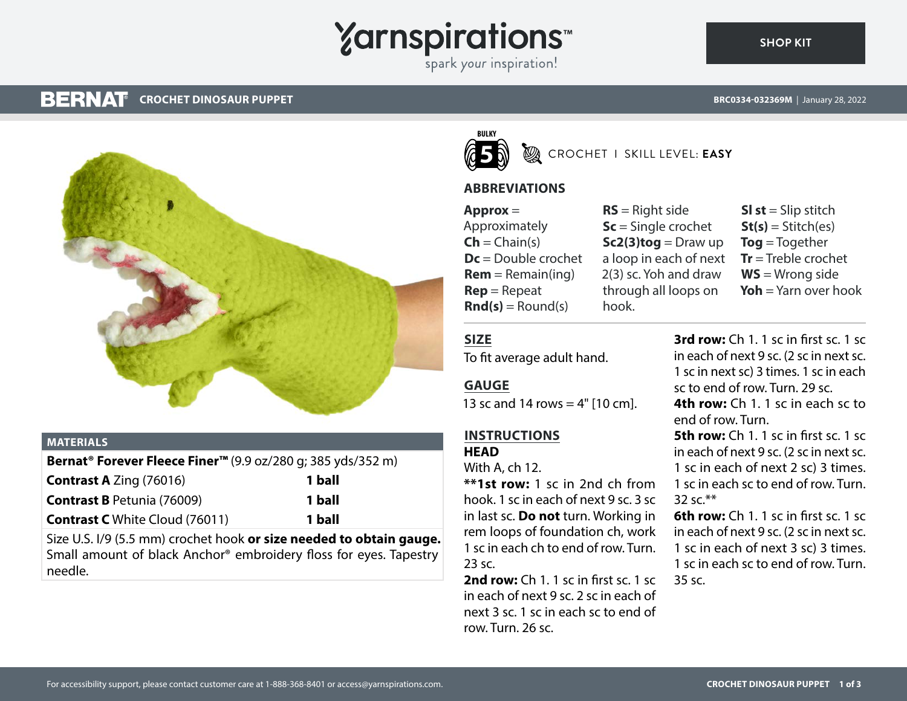# **Yarnspirations**

spark your inspiration!

#### **BERNAT CROCHET DINOSAUR PUPPET**

**SHOP KIT**



#### **MATERIALS**

**Bernat® Forever Fleece Finer™** (9.9 oz/280 g; 385 yds/352 m) **Contrast A** Zing (76016) **1 ball**

| <b>CUILLIQUE A LITTLE (700 TO)</b>    | т ман  |
|---------------------------------------|--------|
| <b>Contrast B Petunia (76009)</b>     | 1 ball |
| <b>Contrast C</b> White Cloud (76011) | 1 ball |

Size U.S. I/9 (5.5 mm) crochet hook **or size needed to obtain gauge.** Small amount of black Anchor® embroidery floss for eyes. Tapestry needle.



CROCHET I SKILL LEVEL: **EASY**

## **ABBREVIATIONS**

**Approx** = Approximately  $\mathsf{Ch} = \mathsf{Chain}(s)$ **Dc** = Double crochet  $Rem = Remain(ina)$ **Rep** = Repeat  $\text{Rnd}(s) =$  Round(s)

**RS** = Right side **Sc** = Single crochet  $Sc2(3)$ tog = Draw up a loop in each of next 2(3) sc. Yoh and draw through all loops on hook.

**Sl st** = Slip stitch  $St(s) = Stitch(es)$ **Tog** = Together **Tr** = Treble crochet **WS** = Wrong side **Yoh** = Yarn over hook

## **SIZE**

To fit average adult hand.

#### **GAUGE**

13 sc and 14 rows  $= 4"$  [10 cm].

# **INSTRUCTIONS**

**HEAD**

With A, ch 12.

**\*\*1st row:** 1 sc in 2nd ch from hook. 1 sc in each of next 9 sc. 3 sc in last sc. **Do not** turn. Working in rem loops of foundation ch, work 1 sc in each ch to end of row. Turn. 23 sc.

**2nd row:** Ch 1. 1 sc in first sc. 1 sc in each of next 9 sc. 2 sc in each of next 3 sc. 1 sc in each sc to end of row. Turn. 26 sc.

**3rd row:** Ch 1. 1 sc in first sc. 1 sc in each of next 9 sc. (2 sc in next sc. 1 sc in next sc) 3 times. 1 sc in each sc to end of row. Turn. 29 sc. **4th row:** Ch 1. 1 sc in each sc to end of row. Turn.

**5th row:** Ch 1. 1 sc in first sc. 1 sc. in each of next 9 sc. (2 sc in next sc. 1 sc in each of next 2 sc) 3 times. 1 sc in each sc to end of row. Turn. 32 sc.\*\*

**6th row:** Ch 1. 1 sc in first sc. 1 sc in each of next 9 sc. (2 sc in next sc. 1 sc in each of next 3 sc) 3 times. 1 sc in each sc to end of row. Turn. 35 sc.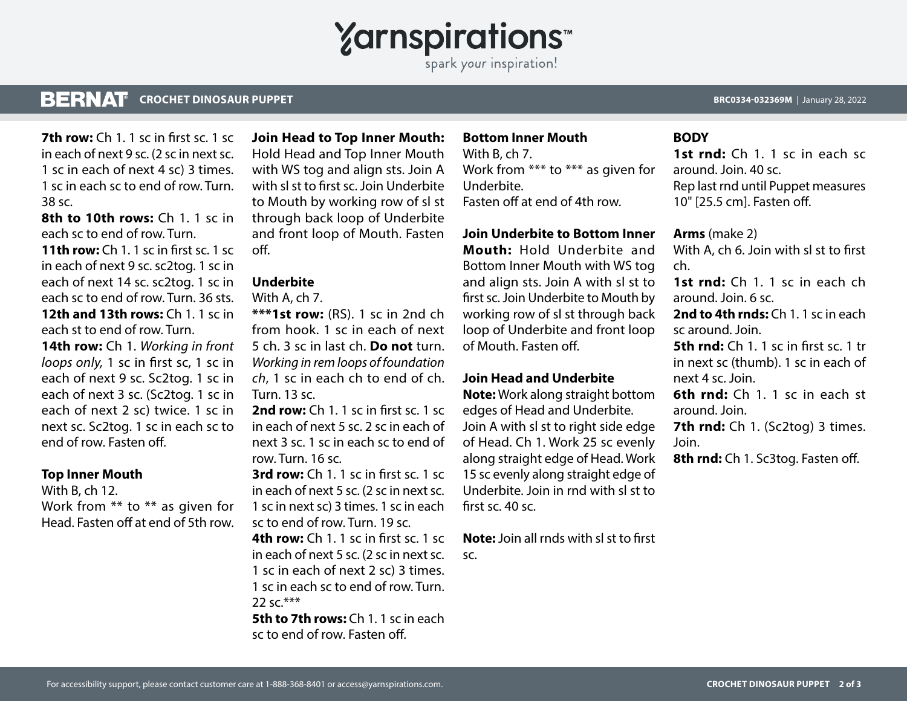# **Yarnspirations**

spark your inspiration!

#### **BERNAT CROCHET DINOSAUR PUPPET BRC0334-032369M** | January 28, 2022

**7th row:** Ch 1, 1 sc in first sc. 1 sc. in each of next 9 sc. (2 sc in next sc. 1 sc in each of next 4 sc) 3 times. 1 sc in each sc to end of row. Turn. 38 sc.

**8th to 10th rows:** Ch 1. 1 sc in each sc to end of row. Turn.

**11th row:** Ch 1. 1 sc in first sc. 1 sc in each of next 9 sc. sc2tog. 1 sc in each of next 14 sc. sc2tog. 1 sc in each sc to end of row. Turn. 36 sts. **12th and 13th rows:** Ch 1, 1 sc in each st to end of row. Turn.

**14th row:** Ch 1. *Working in front loops only,* 1 sc in first sc, 1 sc in each of next 9 sc. Sc2tog. 1 sc in each of next 3 sc. (Sc2tog. 1 sc in each of next 2 sc) twice. 1 sc in next sc. Sc2tog. 1 sc in each sc to end of row. Fasten off.

#### **Top Inner Mouth**

With B, ch 12. Work from \*\* to \*\* as given for Head. Fasten off at end of 5th row.

**Join Head to Top Inner Mouth:** Hold Head and Top Inner Mouth with WS tog and align sts. Join A with sl st to first sc. Join Underbite to Mouth by working row of sl st through back loop of Underbite and front loop of Mouth. Fasten off.

#### **Underbite**

With A, ch 7.

**\*\*\*1st row:** (RS). 1 sc in 2nd ch from hook. 1 sc in each of next 5 ch. 3 sc in last ch. **Do not** turn. *Working in rem loops of foundation ch*, 1 sc in each ch to end of ch. Turn. 13 sc.

**2nd row:** Ch 1. 1 sc in first sc. 1 sc in each of next 5 sc. 2 sc in each of next 3 sc. 1 sc in each sc to end of row. Turn. 16 sc.

**3rd row:** Ch 1. 1 sc in first sc. 1 sc in each of next 5 sc. (2 sc in next sc. 1 sc in next sc) 3 times. 1 sc in each sc to end of row. Turn. 19 sc. **4th row:** Ch 1. 1 sc in first sc. 1 sc

in each of next 5 sc. (2 sc in next sc. 1 sc in each of next 2 sc) 3 times. 1 sc in each sc to end of row. Turn.  $22$  sc  $***$ 

**5th to 7th rows:** Ch 1, 1 sc in each sc to end of row. Fasten off.

## **Bottom Inner Mouth**

With B, ch 7. Work from \*\*\* to \*\*\* as given for Underbite. Fasten off at end of 4th row.

#### **Join Underbite to Bottom Inner**

**Mouth:** Hold Underbite and Bottom Inner Mouth with WS tog and align sts. Join A with sl st to first sc. Join Underbite to Mouth by working row of sl st through back loop of Underbite and front loop of Mouth. Fasten off.

#### **Join Head and Underbite**

**Note:** Work along straight bottom edges of Head and Underbite. Join A with sl st to right side edge of Head. Ch 1. Work 25 sc evenly along straight edge of Head. Work 15 sc evenly along straight edge of Underbite. Join in rnd with sl st to first sc. 40 sc.

**Note:** Join all rnds with sl st to first sc.

#### **BODY**

1st rnd: Ch 1. 1 sc in each sc around. Join. 40 sc. Rep last rnd until Puppet measures 10" [25.5 cm]. Fasten off.

**Arms** (make 2)

With A, ch 6. Join with sl st to first ch.

**1st rnd:** Ch 1. 1 sc in each ch around. Join. 6 sc.

**2nd to 4th rnds:** Ch 1. 1 sc in each sc around. Join.

**5th rnd:** Ch 1. 1 sc in first sc. 1 tr in next sc (thumb). 1 sc in each of next 4 sc. Join.

**6th rnd:** Ch 1. 1 sc in each st around. Join.

**7th rnd:** Ch 1. (Sc2tog) 3 times. Join.

**8th rnd:** Ch 1. Sc3tog. Fasten off.